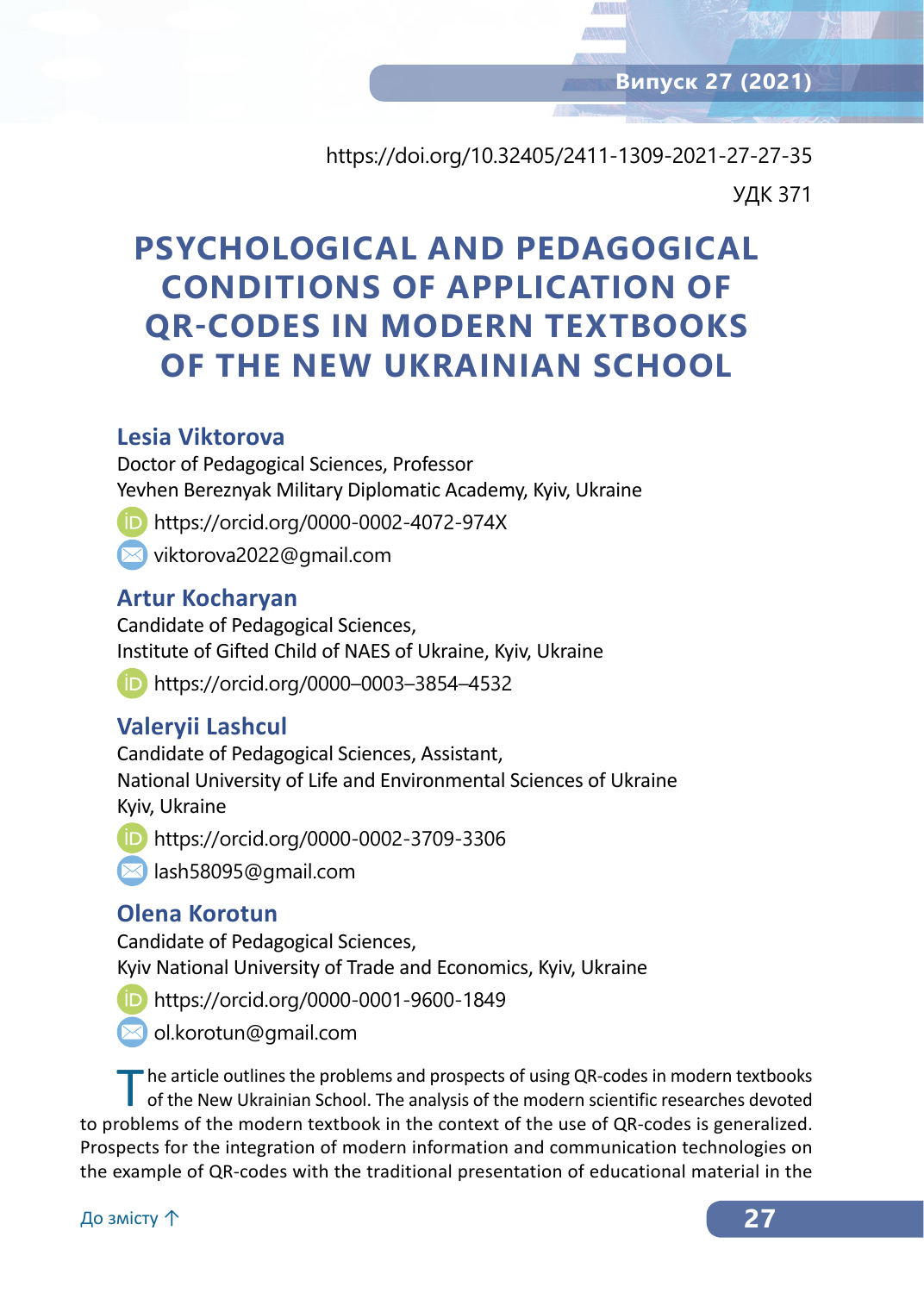https://doi.org/10.32405/2411-1309-2021-27-27-35 УДК 371

# **PSYCHOLOGICAL AND PEDAGOGICAL CONDITIONS OF APPLICATION OF QR‑CODES IN MODERN TEXTBOOKS OF THE NEW UKRAINIAN SCHOOL**

## **Lesia Viktorova**

Doctor of Pedagogical Sciences, Professor Yevhen Bereznyak Military Diplomatic Academy, Kyiv, Ukraine

https://orcid.org/0000-0002-4072-974X

viktorova2022@gmail.com

## **Artur Kocharyan**

Candidate of Pedagogical Sciences, Institute of Gifted Child of NAES of Ukraine, Kyiv, Ukraine

https://orcid.org/0000–0003–3854–4532

## **Valeryii Lashcul**

Candidate of Pedagogical Sciences, Assistant, National University of Life and Environmental Sciences of Ukraine Kyiv, Ukraine

https://orcid.org/0000-0002-3709-3306

lash58095@gmail.com

## **Olena Korotun**

Candidate of Pedagogical Sciences, Kyiv National University of Trade and Economics, Kyiv, Ukraine

https://orcid.org/0000-0001-9600-1849



The article outlines the problems and prospects of using QR-codes in modern textbooks of the New Ukrainian School. The analysis of the modern scientific researches devoted to problems of the modern textbook in the context of the use of QR-codes is generalized. Prospects for the integration of modern information and communication technologies on the example of QR‑codes with the traditional presentation of educational material in the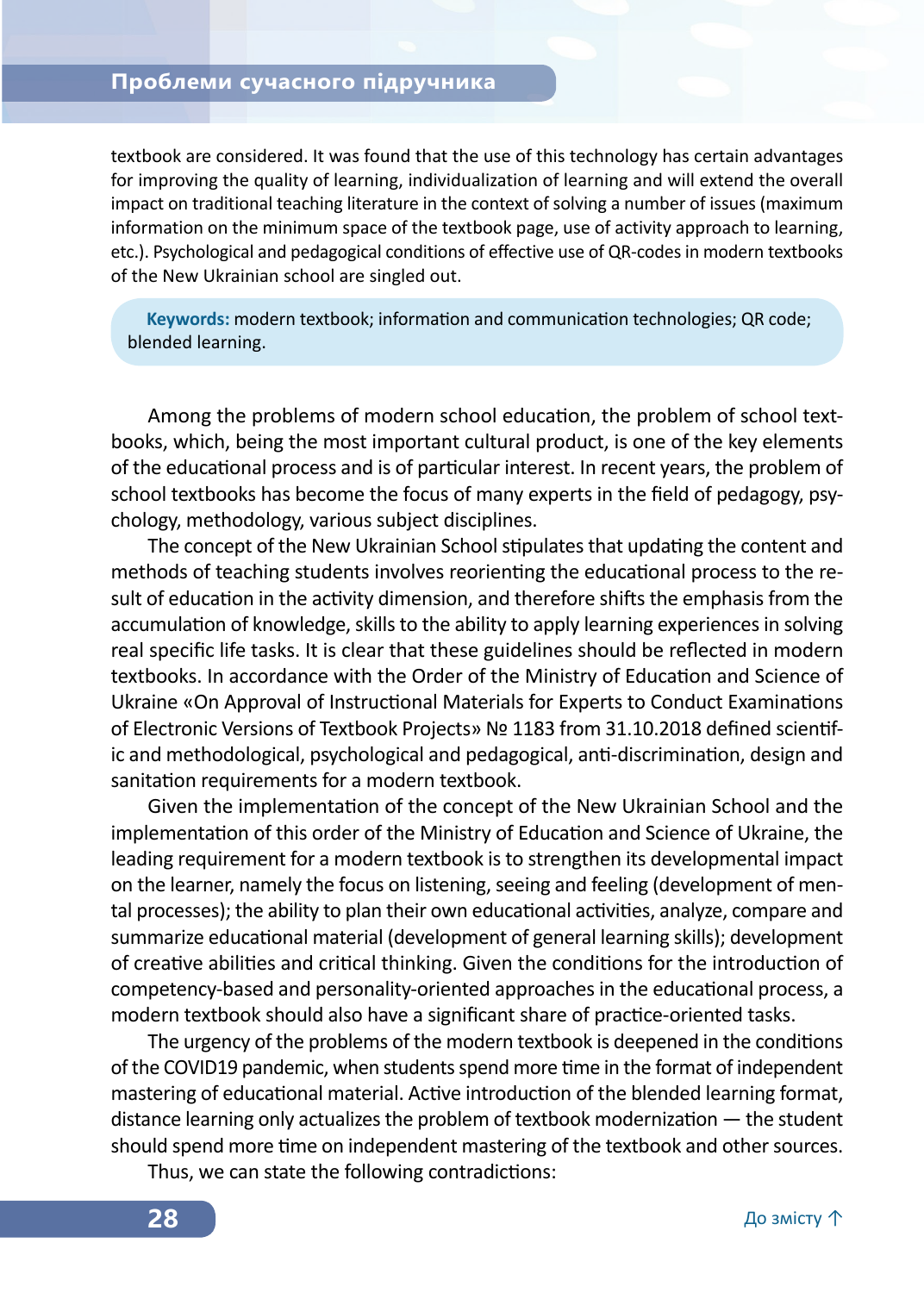#### **Проблеми сучасного підручника**

textbook are considered. It was found that the use of this technology has certain advantages for improving the quality of learning, individualization of learning and will extend the overall impact on traditional teaching literature in the context of solving a number of issues (maximum information on the minimum space of the textbook page, use of activity approach to learning, etc.). Psychological and pedagogical conditions of effective use of QR-codes in modern textbooks of the New Ukrainian school are singled out.

**Keywords:** modern textbook; information and communication technologies; QR code; blended learning.

Among the problems of modern school education, the problem of school textbooks, which, being the most important cultural product, is one of the key elements of the educational process and is of particular interest. In recent years, the problem of school textbooks has become the focus of many experts in the field of pedagogy, psychology, methodology, various subject disciplines.

The concept of the New Ukrainian School stipulates that updating the content and methods of teaching students involves reorienting the educational process to the result of education in the activity dimension, and therefore shifts the emphasis from the accumulation of knowledge, skills to the ability to apply learning experiences in solving real specific life tasks. It is clear that these guidelines should be reflected in modern textbooks. In accordance with the Order of the Ministry of Education and Science of Ukraine «On Approval of Instructional Materials for Experts to Conduct Examinations of Electronic Versions of Textbook Projects» № 1183 from 31.10.2018 defined scientific and methodological, psychological and pedagogical, anti-discrimination, design and sanitation requirements for a modern textbook.

Given the implementation of the concept of the New Ukrainian School and the implementation of this order of the Ministry of Education and Science of Ukraine, the leading requirement for a modern textbook is to strengthen its developmental impact on the learner, namely the focus on listening, seeing and feeling (development of mental processes); the ability to plan their own educational activities, analyze, compare and summarize educational material (development of general learning skills); development of creative abilities and critical thinking. Given the conditions for the introduction of competency-based and personality-oriented approaches in the educational process, a modern textbook should also have a significant share of practice-oriented tasks.

The urgency of the problems of the modern textbook is deepened in the conditions of the COVID19 pandemic, when students spend more time in the format of independent mastering of educational material. Active introduction of the blended learning format, distance learning only actualizes the problem of textbook modernization — the student should spend more time on independent mastering of the textbook and other sources.

Thus, we can state the following contradictions: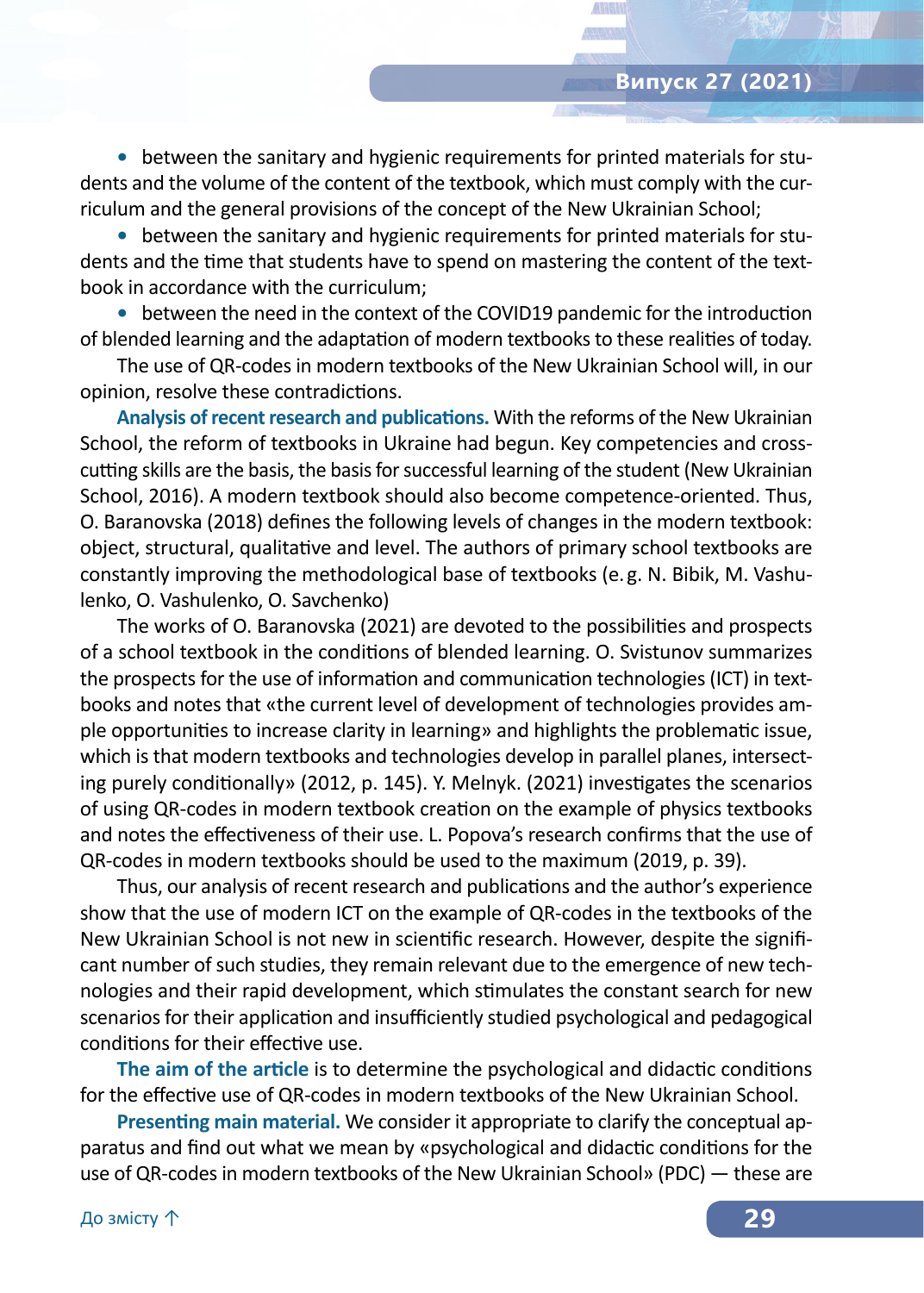**•** between the sanitary and hygienic requirements for printed materials for students and the volume of the content of the textbook, which must comply with the curriculum and the general provisions of the concept of the New Ukrainian School;

**•** between the sanitary and hygienic requirements for printed materials for students and the time that students have to spend on mastering the content of the textbook in accordance with the curriculum;

**•** between the need in the context of the COVID19 pandemic for the introduction of blended learning and the adaptation of modern textbooks to these realities of today.

The use of QR‑codes in modern textbooks of the New Ukrainian School will, in our opinion, resolve these contradictions.

**Analysis ofrecentresearch and publications.** With the reforms of the New Ukrainian School, the reform of textbooks in Ukraine had begun. Key competencies and crosscutting skills are the basis, the basis for successful learning of the student (New Ukrainian School, 2016). A modern textbook should also become competence-oriented. Thus, O. Baranovska (2018) defines the following levels of changes in the modern textbook: object, structural, qualitative and level. The authors of primary school textbooks are constantly improving the methodological base of textbooks (e. g. N. Bibik, M. Vashulenko, O. Vashulenko, O. Savchenko)

The works of O. Baranovska (2021) are devoted to the possibilities and prospects of a school textbook in the conditions of blended learning. O. Svistunov summarizes the prospects for the use of information and communication technologies (ICT) in textbooks and notes that «the current level of development of technologies provides ample opportunities to increase clarity in learning» and highlights the problematic issue, which is that modern textbooks and technologies develop in parallel planes, intersecting purely conditionally» (2012, p. 145). Y. Melnyk. (2021) investigates the scenarios of using QR‑codes in modern textbook creation on the example of physics textbooks and notes the effectiveness of their use. L. Popova's research confirms that the use of QR‑codes in modern textbooks should be used to the maximum (2019, p. 39).

Thus, our analysis of recent research and publications and the author's experience show that the use of modern ICT on the example of QR‑codes in the textbooks of the New Ukrainian School is not new in scientific research. However, despite the significant number of such studies, they remain relevant due to the emergence of new technologies and their rapid development, which stimulates the constant search for new scenarios for their application and insufficiently studied psychological and pedagogical conditions for their effective use.

**The aim of the article** is to determine the psychological and didactic conditions for the effective use of QR‑codes in modern textbooks of the New Ukrainian School.

**Presenting main material.** We consider it appropriate to clarify the conceptual apparatus and find out what we mean by «psychological and didactic conditions for the use of QR‑codes in modern textbooks of the New Ukrainian School» (PDC) — these are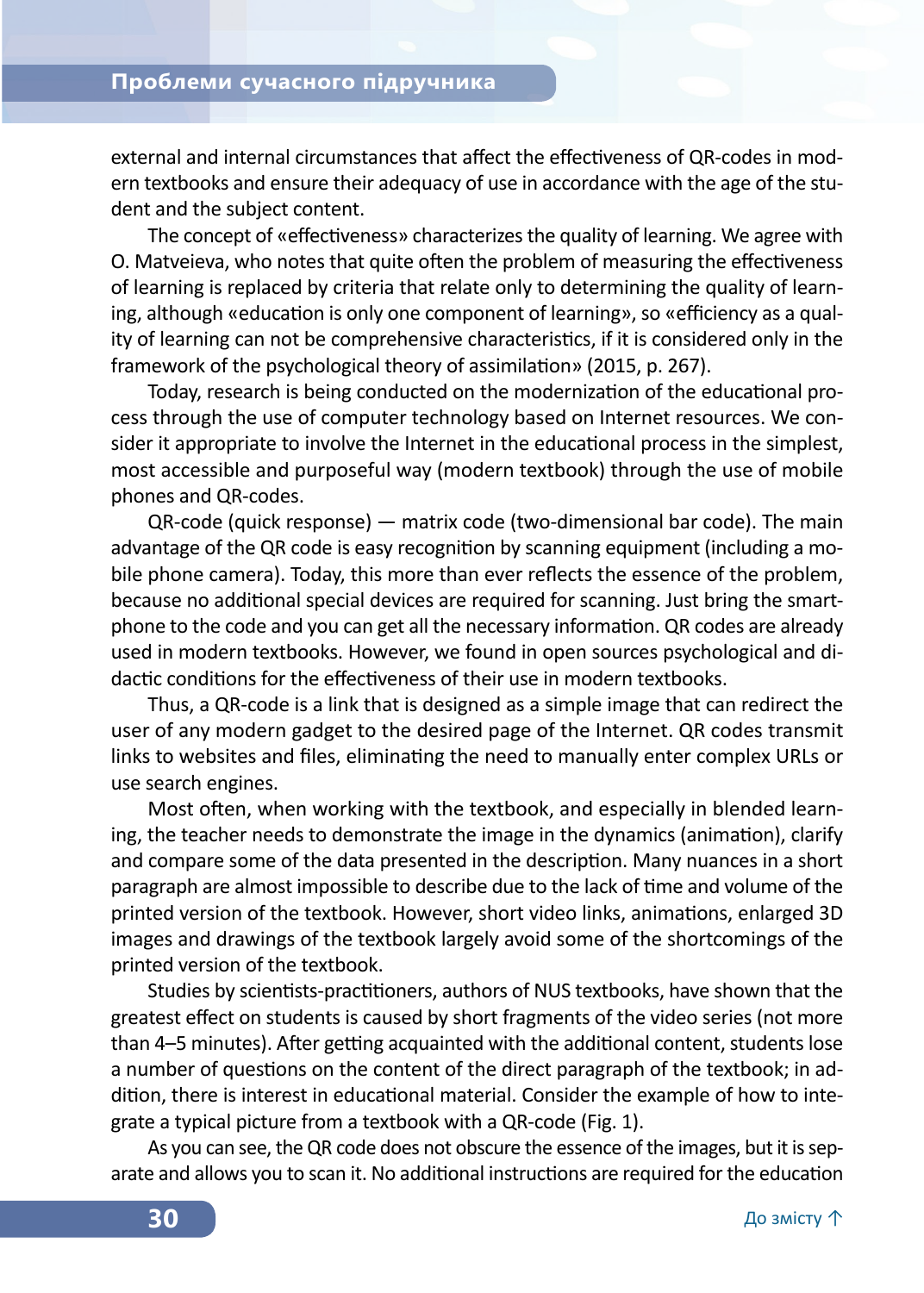external and internal circumstances that affect the effectiveness of QR-codes in modern textbooks and ensure their adequacy of use in accordance with the age of the student and the subject content.

The concept of «effectiveness» characterizes the quality of learning. We agree with O. Matveieva, who notes that quite often the problem of measuring the effectiveness of learning is replaced by criteria that relate only to determining the quality of learning, although «education is only one component of learning», so «efficiency as a quality of learning can not be comprehensive characteristics, if it is considered only in the framework of the psychological theory of assimilation» (2015, p. 267).

Today, research is being conducted on the modernization of the educational process through the use of computer technology based on Internet resources. We consider it appropriate to involve the Internet in the educational process in the simplest, most accessible and purposeful way (modern textbook) through the use of mobile phones and QR‑codes.

QR‑code (quick response) — matrix code (two-dimensional bar code). The main advantage of the QR code is easy recognition by scanning equipment (including a mobile phone camera). Today, this more than ever reflects the essence of the problem, because no additional special devices are required for scanning. Just bring the smartphone to the code and you can get all the necessary information. QR codes are already used in modern textbooks. However, we found in open sources psychological and didactic conditions for the effectiveness of their use in modern textbooks.

Thus, a QR‑code is a link that is designed as a simple image that can redirect the user of any modern gadget to the desired page of the Internet. QR codes transmit links to websites and files, eliminating the need to manually enter complex URLs or use search engines.

Most often, when working with the textbook, and especially in blended learning, the teacher needs to demonstrate the image in the dynamics (animation), clarify and compare some of the data presented in the description. Many nuances in a short paragraph are almost impossible to describe due to the lack of time and volume of the printed version of the textbook. However, short video links, animations, enlarged 3D images and drawings of the textbook largely avoid some of the shortcomings of the printed version of the textbook.

Studies by scientists-practitioners, authors of NUS textbooks, have shown that the greatest effect on students is caused by short fragments of the video series (not more than 4–5 minutes). After getting acquainted with the additional content, students lose a number of questions on the content of the direct paragraph of the textbook; in addition, there is interest in educational material. Consider the example of how to integrate a typical picture from a textbook with a QR‑code (Fig. 1).

As you can see, the QR code does not obscure the essence of the images, but it is separate and allows you to scan it. No additional instructions are required for the education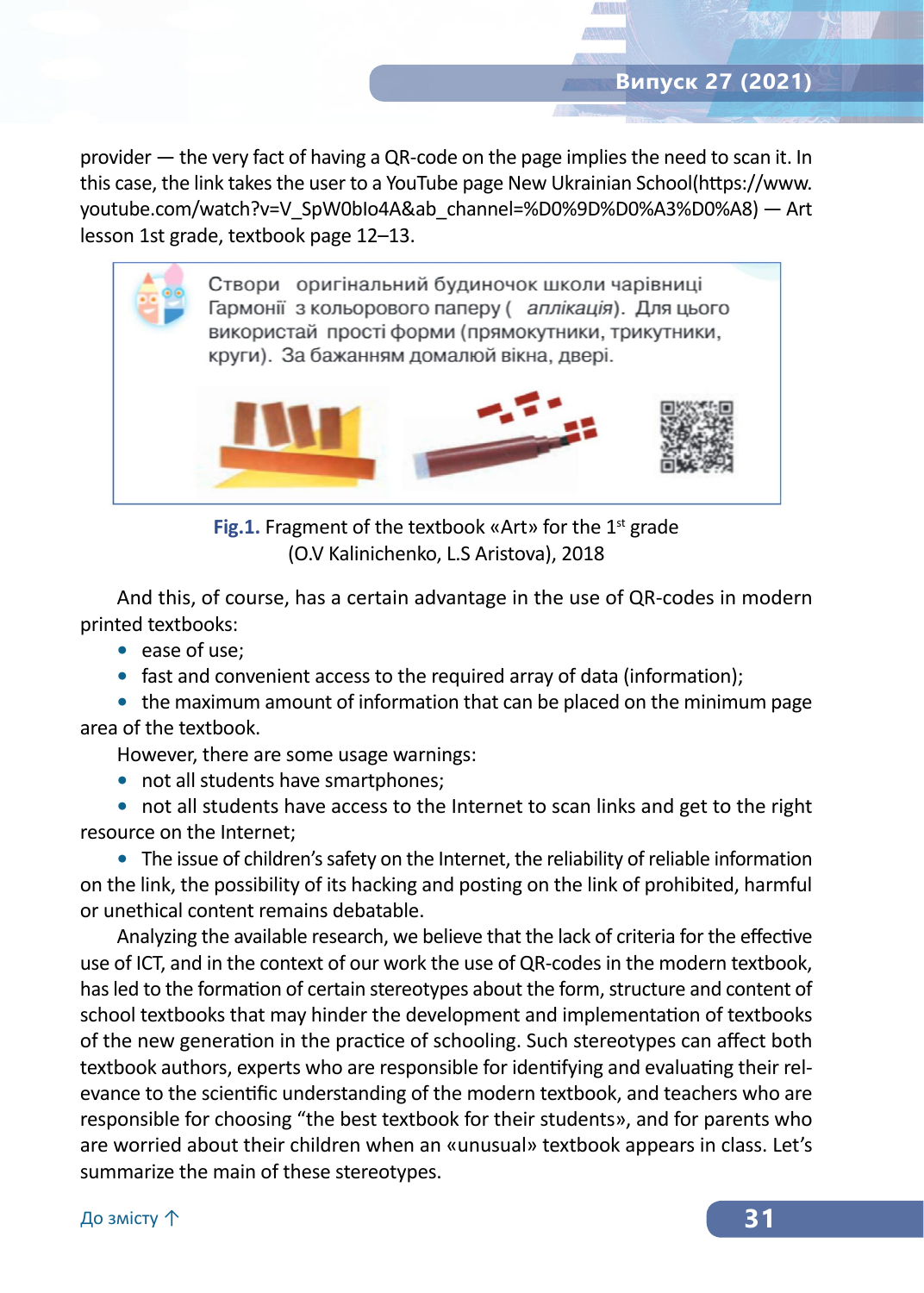provider — the very fact of having a QR‑code on the page implies the need to scan it. In this case, the link takes the user to a YouTube page New Ukrainian School(https://www. youtube.com/watch?v=V\_SpW0bIo4A&ab\_channel=%D0%9D%D0%A3%D0%A8) — Art lesson 1st grade, textbook page 12–13.



**Fig.1.** Fragment of the textbook «Art» for the 1<sup>st</sup> grade (O.V Kalinichenko, L.S Aristova), 2018

And this, of course, has a certain advantage in the use of QR‑codes in modern printed textbooks:

- **•** ease of use;
- **•** fast and convenient access to the required array of data (information);

**•** the maximum amount of information that can be placed on the minimum page area of the textbook.

However, there are some usage warnings:

• not all students have smartphones;

**•** not all students have access to the Internet to scan links and get to the right resource on the Internet;

**•** The issue of children's safety on the Internet, the reliability of reliable information on the link, the possibility of its hacking and posting on the link of prohibited, harmful or unethical content remains debatable.

Analyzing the available research, we believe that the lack of criteria for the effective use of ICT, and in the context of our work the use of QR‑codes in the modern textbook, has led to the formation of certain stereotypes about the form, structure and content of school textbooks that may hinder the development and implementation of textbooks of the new generation in the practice of schooling. Such stereotypes can affect both textbook authors, experts who are responsible for identifying and evaluating their relevance to the scientific understanding of the modern textbook, and teachers who are responsible for choosing "the best textbook for their students», and for parents who are worried about their children when an «unusual» textbook appears in class. Let's summarize the main of these stereotypes.

До змісту ↑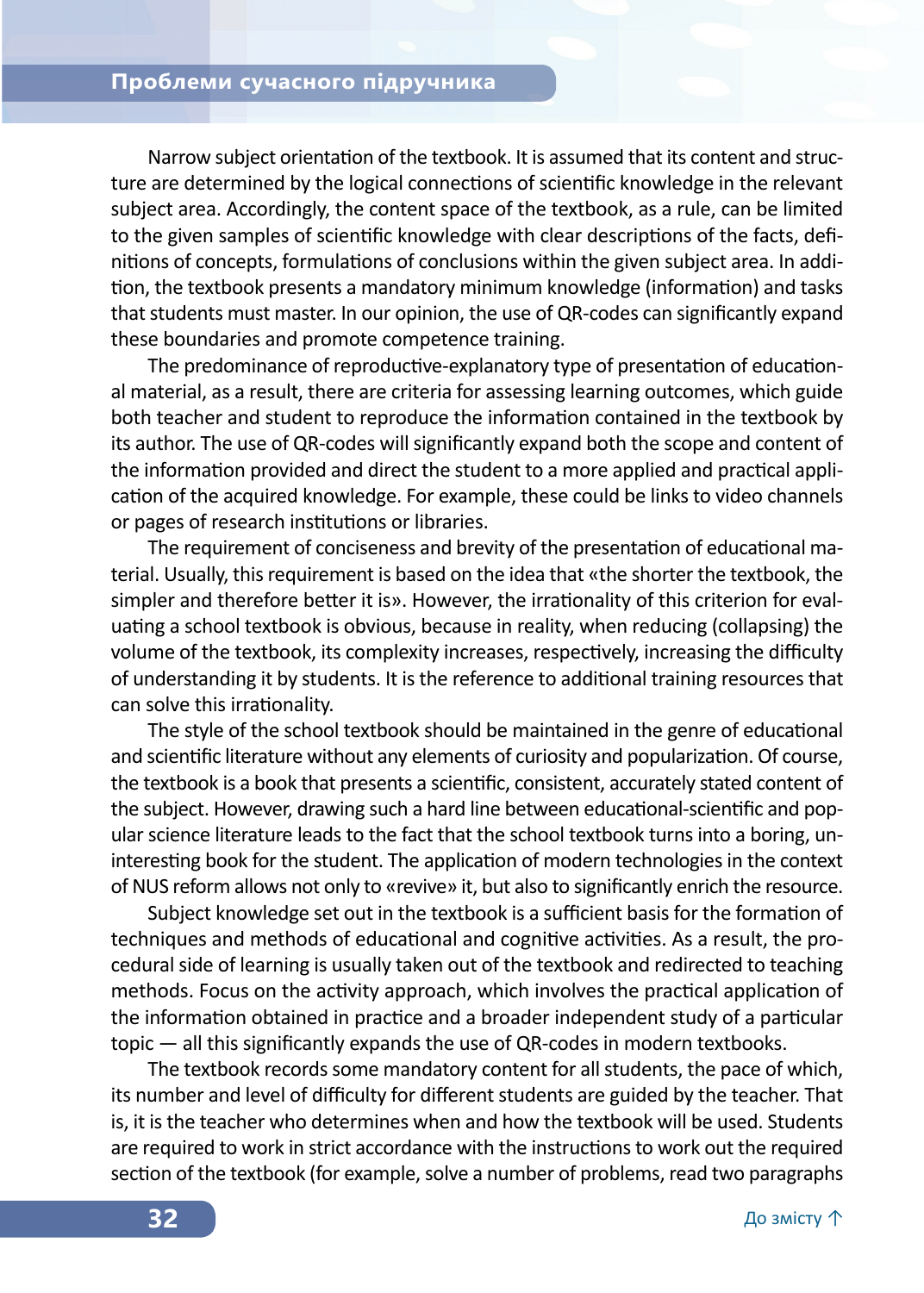Narrow subject orientation of the textbook. It is assumed that its content and structure are determined by the logical connections of scientific knowledge in the relevant subject area. Accordingly, the content space of the textbook, as a rule, can be limited to the given samples of scientific knowledge with clear descriptions of the facts, definitions of concepts, formulations of conclusions within the given subject area. In addition, the textbook presents a mandatory minimum knowledge (information) and tasks that students must master. In our opinion, the use of QR‑codes can significantly expand these boundaries and promote competence training.

The predominance of reproductive-explanatory type of presentation of educational material, as a result, there are criteria for assessing learning outcomes, which guide both teacher and student to reproduce the information contained in the textbook by its author. The use of QR‑codes will significantly expand both the scope and content of the information provided and direct the student to a more applied and practical application of the acquired knowledge. For example, these could be links to video channels or pages of research institutions or libraries.

The requirement of conciseness and brevity of the presentation of educational material. Usually, this requirement is based on the idea that «the shorter the textbook, the simpler and therefore better it is». However, the irrationality of this criterion for evaluating a school textbook is obvious, because in reality, when reducing (collapsing) the volume of the textbook, its complexity increases, respectively, increasing the difficulty of understanding it by students. It is the reference to additional training resources that can solve this irrationality.

The style of the school textbook should be maintained in the genre of educational and scientific literature without any elements of curiosity and popularization. Of course, the textbook is a book that presents a scientific, consistent, accurately stated content of the subject. However, drawing such a hard line between educational-scientific and popular science literature leads to the fact that the school textbook turns into a boring, uninteresting book for the student. The application of modern technologies in the context of NUS reform allows not only to «revive» it, but also to significantly enrich the resource.

Subject knowledge set out in the textbook is a sufficient basis for the formation of techniques and methods of educational and cognitive activities. As a result, the procedural side of learning is usually taken out of the textbook and redirected to teaching methods. Focus on the activity approach, which involves the practical application of the information obtained in practice and a broader independent study of a particular topic — all this significantly expands the use of QR‑codes in modern textbooks.

The textbook records some mandatory content for all students, the pace of which, its number and level of difficulty for different students are guided by the teacher. That is, it is the teacher who determines when and how the textbook will be used. Students are required to work in strict accordance with the instructions to work out the required section of the textbook (for example, solve a number of problems, read two paragraphs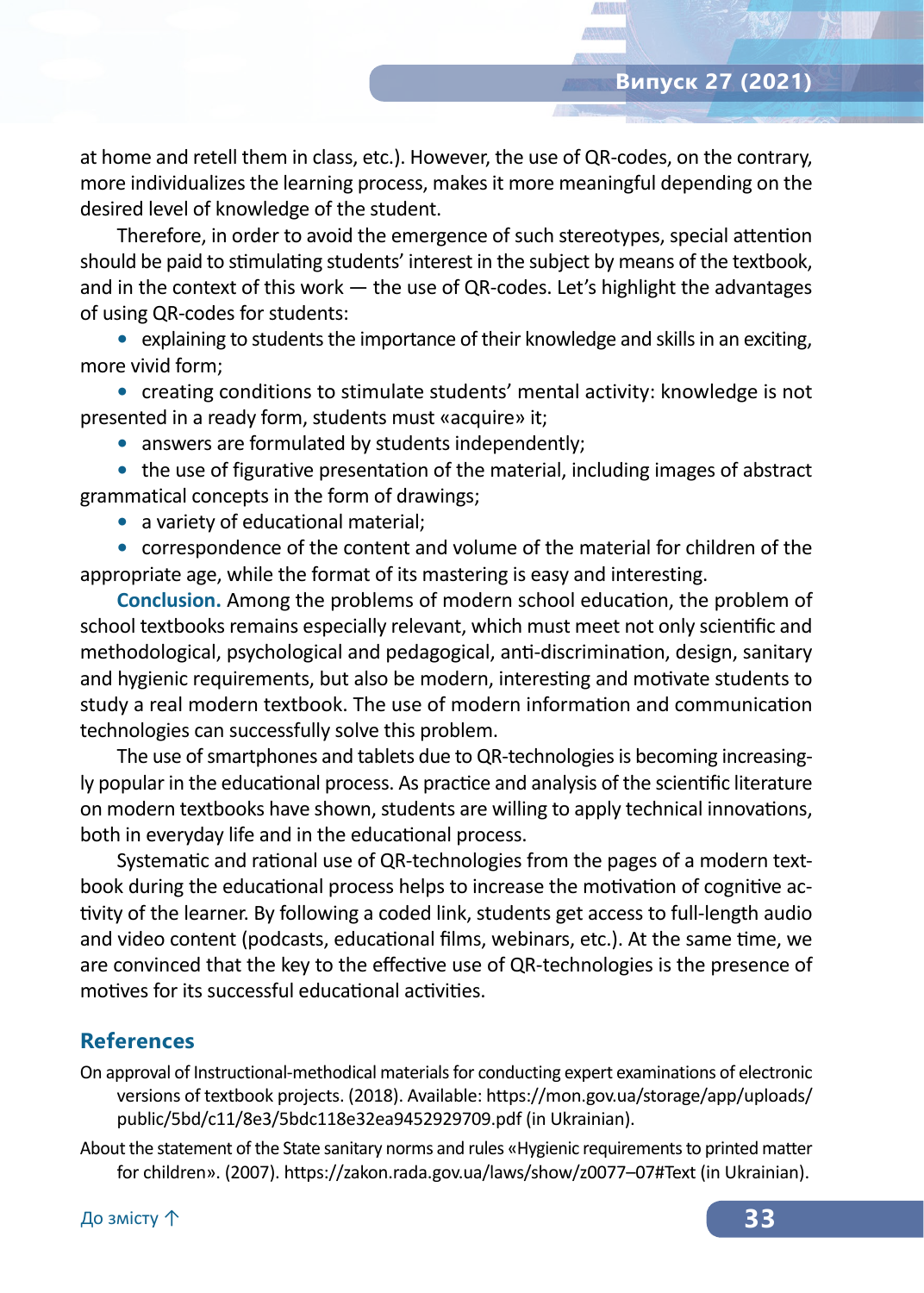at home and retell them in class, etc.). However, the use of QR‑codes, on the contrary, more individualizes the learning process, makes it more meaningful depending on the desired level of knowledge of the student.

Therefore, in order to avoid the emergence of such stereotypes, special attention should be paid to stimulating students' interest in the subject by means of the textbook, and in the context of this work  $-$  the use of QR-codes. Let's highlight the advantages of using QR‑codes for students:

**•** explaining to students the importance of their knowledge and skills in an exciting, more vivid form;

**•** creating conditions to stimulate students' mental activity: knowledge is not presented in a ready form, students must «acquire» it;

**•** answers are formulated by students independently;

**•** the use of figurative presentation of the material, including images of abstract grammatical concepts in the form of drawings;

**•** a variety of educational material;

**•** correspondence of the content and volume of the material for children of the appropriate age, while the format of its mastering is easy and interesting.

**Conclusion.** Among the problems of modern school education, the problem of school textbooks remains especially relevant, which must meet not only scientific and methodological, psychological and pedagogical, anti-discrimination, design, sanitary and hygienic requirements, but also be modern, interesting and motivate students to study a real modern textbook. The use of modern information and communication technologies can successfully solve this problem.

The use of smartphones and tablets due to QR‑technologies is becoming increasingly popular in the educational process. As practice and analysis of the scientific literature on modern textbooks have shown, students are willing to apply technical innovations, both in everyday life and in the educational process.

Systematic and rational use of QR‑technologies from the pages of a modern textbook during the educational process helps to increase the motivation of cognitive activity of the learner. By following a coded link, students get access to full-length audio and video content (podcasts, educational films, webinars, etc.). At the same time, we are convinced that the key to the effective use of QR-technologies is the presence of motives for its successful educational activities.

#### **References**

- On approval of Instructional-methodical materials for conducting expert examinations of electronic versions of textbook projects. (2018). Available: https://mon.gov.ua/storage/app/uploads/ public/5bd/c11/8e3/5bdc118e32ea9452929709.pdf (in Ukrainian).
- About the statement of the State sanitary norms and rules «Hygienic requirements to printed matter for children». (2007). https://zakon.rada.gov.ua/laws/show/z0077–07#Text (in Ukrainian).

До змісту ↑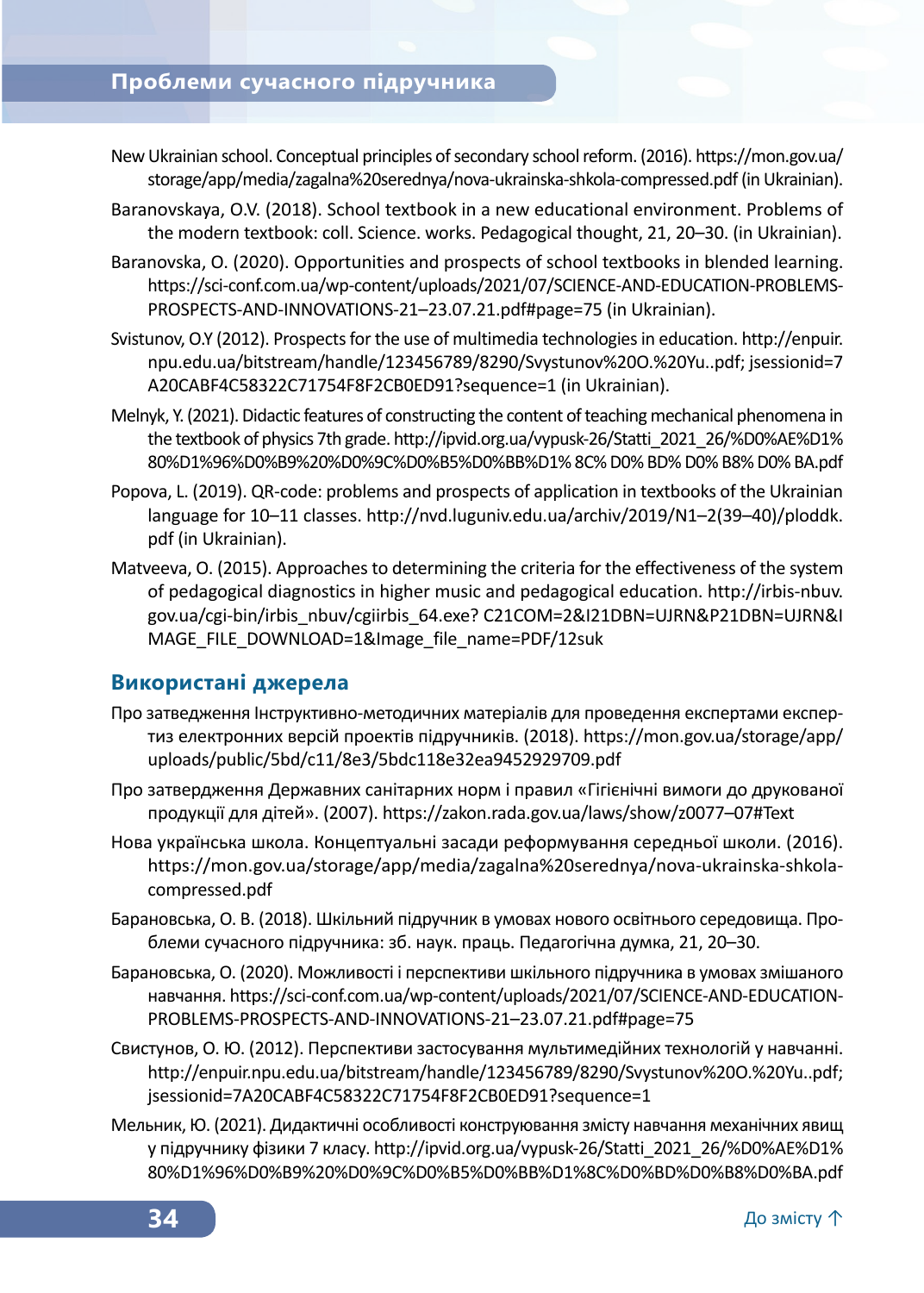### **Проблеми сучасного підручника**

- New Ukrainian school. Conceptual principles of secondary school reform. (2016). https://mon.gov.ua/ storage/app/media/zagalna%20serednya/nova-ukrainska-shkola-compressed.pdf (in Ukrainian).
- Baranovskaya, O.V. (2018). School textbook in a new educational environment. Problems of the modern textbook: coll. Science. works. Pedagogical thought, 21, 20–30. (in Ukrainian).
- Baranovska, O. (2020). Opportunities and prospects of school textbooks in blended learning. https://sci-conf.com.ua/wp-content/uploads/2021/07/SCIENCE-AND-EDUCATION-PROBLEMS-PROSPECTS-AND-INNOVATIONS‑21–23.07.21.pdf#page=75 (in Ukrainian).
- Svistunov, O.Y (2012). Prospects for the use of multimedia technologies in education. http://enpuir. npu.edu.ua/bitstream/handle/123456789/8290/Svystunov%20O.%20Yu..pdf; jsessionid=7 A20CABF4C58322C71754F8F2CB0ED91?sequence=1 (in Ukrainian).
- Melnyk, Y. (2021). Didactic features of constructing the content of teaching mechanical phenomena in the textbook of physics 7th grade. http://ipvid.org.ua/vypusk-26/Statti\_2021\_26/%D0%AE%D1% 80%D1%96%D0%B9%20%D0%9C%D0%B5%D0%BB%D1% 8C% D0% BD% D0% B8% D0% BA.pdf
- Popova, L. (2019). QR‑code: problems and prospects of application in textbooks of the Ukrainian language for 10–11 classes. http://nvd.luguniv.edu.ua/archiv/2019/N1–2(39–40)/ploddk. pdf (in Ukrainian).
- Matveeva, O. (2015). Approaches to determining the criteria for the effectiveness of the system of pedagogical diagnostics in higher music and pedagogical education. http://irbis-nbuv. gov.ua/cgi-bin/irbis\_nbuv/cgiirbis\_64.exe? C21COM=2&I21DBN=UJRN&P21DBN=UJRN&I MAGE\_FILE\_DOWNLOAD=1&Image\_file\_name=PDF/12suk

#### **Використані джерела**

- Про затведження Інструктивно-методичних матеріалів для проведення експертами експертиз електронних версій проектів підручників. (2018). https://mon.gov.ua/storage/app/ uploads/public/5bd/c11/8e3/5bdc118e32ea9452929709.pdf
- Про затвердження Державних санітарних норм і правил «Гігієнічні вимоги до друкованої продукції для дітей». (2007). https://zakon.rada.gov.ua/laws/show/z0077–07#Text
- Нова українська школа. Концептуальні засади реформування середньої школи. (2016). https://mon.gov.ua/storage/app/media/zagalna%20serednya/nova-ukrainska-shkolacompressed.pdf
- Барановська, О. В. (2018). Шкільний підручник в умовах нового освітнього середовища. Проблеми сучасного підручника: зб. наук. праць. Педагогічна думка, 21, 20–30.
- Барановська, О. (2020). Можливості і перспективи шкільного підручника в умовах змішаного навчання. https://sci-conf.com.ua/wp-content/uploads/2021/07/SCIENCE-AND-EDUCATION-PROBLEMS-PROSPECTS-AND-INNOVATIONS‑21–23.07.21.pdf#page=75
- Свистунов, О. Ю. (2012). Перспективи застосування мультимедійних технологій у навчанні. http://enpuir.npu.edu.ua/bitstream/handle/123456789/8290/Svystunov%20O.%20Yu..pdf; jsessionid=7A20CABF4C58322C71754F8F2CB0ED91?sequence=1
- Мельник, Ю. (2021). Дидактичні особливості конструювання змісту навчання механічних явищ у підручнику фізики 7 класу. http://ipvid.org.ua/vypusk‑26/Statti\_2021\_26/%D0%AE%D1% 80%D1%96%D0%B9%20%D0%9C%D0%B5%D0%BB%D1%8C%D0%BD%D0%B8%D0%BA.pdf